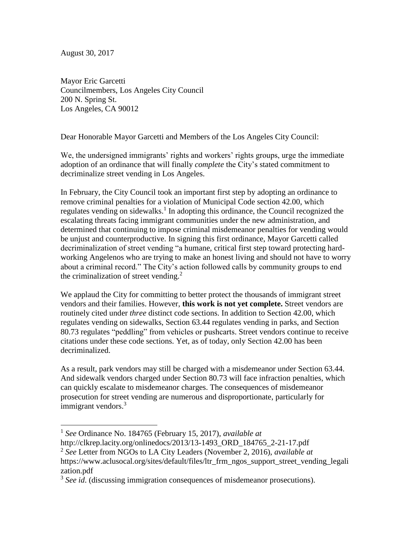August 30, 2017

 $\overline{a}$ 

Mayor Eric Garcetti Councilmembers, Los Angeles City Council 200 N. Spring St. Los Angeles, CA 90012

Dear Honorable Mayor Garcetti and Members of the Los Angeles City Council:

We, the undersigned immigrants' rights and workers' rights groups, urge the immediate adoption of an ordinance that will finally *complete* the City's stated commitment to decriminalize street vending in Los Angeles.

In February, the City Council took an important first step by adopting an ordinance to remove criminal penalties for a violation of Municipal Code section 42.00, which regulates vending on sidewalks.<sup>1</sup> In adopting this ordinance, the Council recognized the escalating threats facing immigrant communities under the new administration, and determined that continuing to impose criminal misdemeanor penalties for vending would be unjust and counterproductive. In signing this first ordinance, Mayor Garcetti called decriminalization of street vending "a humane, critical first step toward protecting hardworking Angelenos who are trying to make an honest living and should not have to worry about a criminal record." The City's action followed calls by community groups to end the criminalization of street vending.<sup>2</sup>

We applaud the City for committing to better protect the thousands of immigrant street vendors and their families. However, **this work is not yet complete.** Street vendors are routinely cited under *three* distinct code sections. In addition to Section 42.00, which regulates vending on sidewalks, Section 63.44 regulates vending in parks, and Section 80.73 regulates "peddling" from vehicles or pushcarts. Street vendors continue to receive citations under these code sections. Yet, as of today, only Section 42.00 has been decriminalized.

As a result, park vendors may still be charged with a misdemeanor under Section 63.44. And sidewalk vendors charged under Section 80.73 will face infraction penalties, which can quickly escalate to misdemeanor charges. The consequences of misdemeanor prosecution for street vending are numerous and disproportionate, particularly for immigrant vendors.<sup>3</sup>

<sup>1</sup> *See* Ordinance No. 184765 (February 15, 2017), *available at*

http://clkrep.lacity.org/onlinedocs/2013/13-1493\_ORD\_184765\_2-21-17.pdf

<sup>2</sup> *See* Letter from NGOs to LA City Leaders (November 2, 2016), *available at*

https://www.aclusocal.org/sites/default/files/ltr\_frm\_ngos\_support\_street\_vending\_legali zation.pdf

<sup>&</sup>lt;sup>3</sup> See id. (discussing immigration consequences of misdemeanor prosecutions).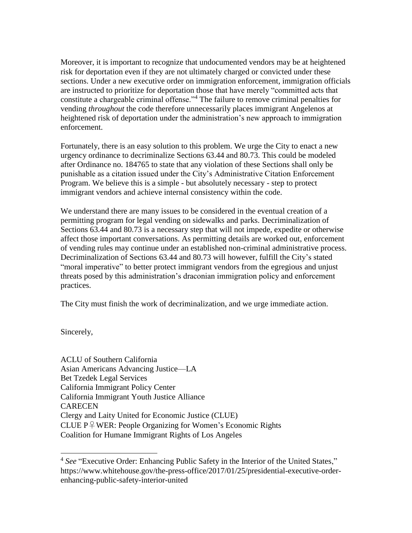Moreover, it is important to recognize that undocumented vendors may be at heightened risk for deportation even if they are not ultimately charged or convicted under these sections. Under a new executive order on immigration enforcement, immigration officials are instructed to prioritize for deportation those that have merely "committed acts that constitute a chargeable criminal offense."<sup>4</sup> The failure to remove criminal penalties for vending *throughout* the code therefore unnecessarily places immigrant Angelenos at heightened risk of deportation under the administration's new approach to immigration enforcement.

Fortunately, there is an easy solution to this problem. We urge the City to enact a new urgency ordinance to decriminalize Sections 63.44 and 80.73. This could be modeled after Ordinance no. 184765 to state that any violation of these Sections shall only be punishable as a citation issued under the City's Administrative Citation Enforcement Program. We believe this is a simple - but absolutely necessary - step to protect immigrant vendors and achieve internal consistency within the code.

We understand there are many issues to be considered in the eventual creation of a permitting program for legal vending on sidewalks and parks. Decriminalization of Sections 63.44 and 80.73 is a necessary step that will not impede, expedite or otherwise affect those important conversations. As permitting details are worked out, enforcement of vending rules may continue under an established non-criminal administrative process. Decriminalization of Sections 63.44 and 80.73 will however, fulfill the City's stated "moral imperative" to better protect immigrant vendors from the egregious and unjust threats posed by this administration's draconian immigration policy and enforcement practices.

The City must finish the work of decriminalization, and we urge immediate action.

Sincerely,

l

ACLU of Southern California Asian Americans Advancing Justice—LA Bet Tzedek Legal Services California Immigrant Policy Center California Immigrant Youth Justice Alliance **CARECEN** Clergy and Laity United for Economic Justice (CLUE) CLUE  $P \nsubseteq WER$ : People Organizing for Women's Economic Rights Coalition for Humane Immigrant Rights of Los Angeles

<sup>&</sup>lt;sup>4</sup> See "Executive Order: Enhancing Public Safety in the Interior of the United States," https://www.whitehouse.gov/the-press-office/2017/01/25/presidential-executive-orderenhancing-public-safety-interior-united